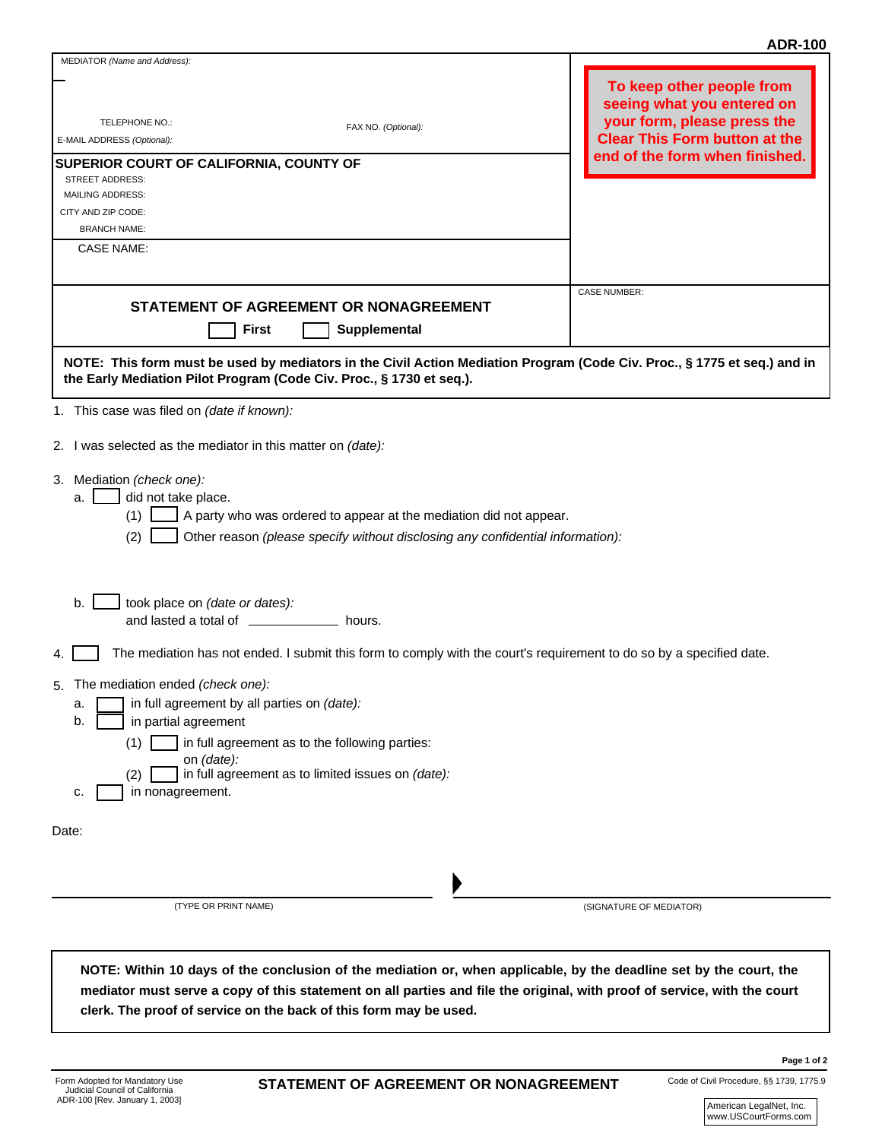## **ADR-100**

| MEDIATOR (Name and Address):                                                                                                                                                                                                                                                                                        | ADIN-TUU                                                                                                                                                         |
|---------------------------------------------------------------------------------------------------------------------------------------------------------------------------------------------------------------------------------------------------------------------------------------------------------------------|------------------------------------------------------------------------------------------------------------------------------------------------------------------|
| TELEPHONE NO.:<br>FAX NO. (Optional):<br>E-MAIL ADDRESS (Optional):<br>SUPERIOR COURT OF CALIFORNIA, COUNTY OF<br>STREET ADDRESS:<br><b>MAILING ADDRESS:</b>                                                                                                                                                        | To keep other people from<br>seeing what you entered on<br>your form, please press the<br><b>Clear This Form button at the</b><br>end of the form when finished. |
| CITY AND ZIP CODE:                                                                                                                                                                                                                                                                                                  |                                                                                                                                                                  |
| <b>BRANCH NAME:</b>                                                                                                                                                                                                                                                                                                 |                                                                                                                                                                  |
| <b>CASE NAME:</b>                                                                                                                                                                                                                                                                                                   |                                                                                                                                                                  |
|                                                                                                                                                                                                                                                                                                                     | <b>CASE NUMBER:</b>                                                                                                                                              |
| STATEMENT OF AGREEMENT OR NONAGREEMENT<br><b>First</b><br>Supplemental                                                                                                                                                                                                                                              |                                                                                                                                                                  |
| NOTE: This form must be used by mediators in the Civil Action Mediation Program (Code Civ. Proc., § 1775 et seq.) and in                                                                                                                                                                                            |                                                                                                                                                                  |
| the Early Mediation Pilot Program (Code Civ. Proc., § 1730 et seq.).                                                                                                                                                                                                                                                |                                                                                                                                                                  |
| 1. This case was filed on (date if known):                                                                                                                                                                                                                                                                          |                                                                                                                                                                  |
|                                                                                                                                                                                                                                                                                                                     |                                                                                                                                                                  |
| 2. I was selected as the mediator in this matter on (date):                                                                                                                                                                                                                                                         |                                                                                                                                                                  |
| 3. Mediation (check one):<br>did not take place.<br>a.<br>A party who was ordered to appear at the mediation did not appear.<br>(1)<br>(2)<br>Other reason (please specify without disclosing any confidential information):                                                                                        |                                                                                                                                                                  |
| b.<br>took place on (date or dates):<br>and lasted a total of _____________<br>hours.                                                                                                                                                                                                                               |                                                                                                                                                                  |
| The mediation has not ended. I submit this form to comply with the court's requirement to do so by a specified date.<br>4.                                                                                                                                                                                          |                                                                                                                                                                  |
| The mediation ended (check one):<br>5.<br>in full agreement by all parties on (date):<br>а.<br>in partial agreement<br>b.<br>in full agreement as to the following parties:<br>(1)<br>on <i>(date)</i> :<br>in full agreement as to limited issues on (date):<br>(2)<br>in nonagreement.<br>c.                      |                                                                                                                                                                  |
| Date:                                                                                                                                                                                                                                                                                                               |                                                                                                                                                                  |
|                                                                                                                                                                                                                                                                                                                     |                                                                                                                                                                  |
|                                                                                                                                                                                                                                                                                                                     |                                                                                                                                                                  |
|                                                                                                                                                                                                                                                                                                                     |                                                                                                                                                                  |
| (TYPE OR PRINT NAME)                                                                                                                                                                                                                                                                                                | (SIGNATURE OF MEDIATOR)                                                                                                                                          |
|                                                                                                                                                                                                                                                                                                                     |                                                                                                                                                                  |
| NOTE: Within 10 days of the conclusion of the mediation or, when applicable, by the deadline set by the court, the<br>mediator must serve a copy of this statement on all parties and file the original, with proof of service, with the court<br>clerk. The proof of service on the back of this form may be used. |                                                                                                                                                                  |

Code of Civil Procedure, §§ 1739, 1775.9

**Page 1 of 2**